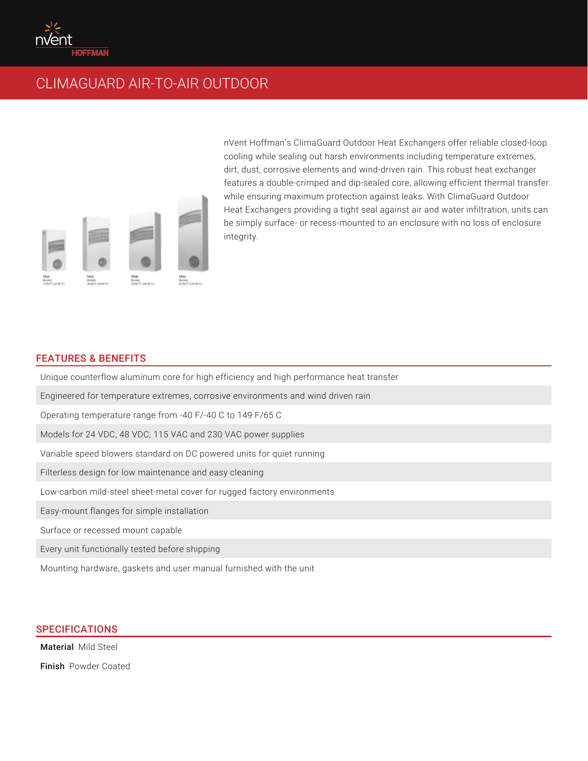

## CLIMAGUARD AIR-TO-AIR OUTDOOR



nVent Hoffman's ClimaGuard Outdoor Heat Exchangers offer reliable closed-loop cooling while sealing out harsh environments including temperature extremes, dirt, dust, corrosive elements and wind-driven rain. This robust heat exchanger features a double-crimped and dip-sealed core, allowing efficient thermal transfer while ensuring maximum protection against leaks. With ClimaGuard Outdoor Heat Exchangers providing a tight seal against air and water infiltration, units can be simply surface- or recess-mounted to an enclosure with no loss of enclosure integrity.

## FEATURES & BENEFITS

Unique counterflow aluminum core for high efficiency and high performance heat transfer Engineered for temperature extremes, corrosive environments and wind driven rain Operating temperature range from -40 F/-40 C to 149 F/65 C Models for 24 VDC, 48 VDC, 115 VAC and 230 VAC power supplies Variable speed blowers standard on DC powered units for quiet running Filterless design for low maintenance and easy cleaning Low-carbon mild-steel sheet-metal cover for rugged factory environments Easy-mount flanges for simple installation Surface or recessed mount capable Every unit functionally tested before shipping

Mounting hardware, gaskets and user manual furnished with the unit

## SPECIFICATIONS

Material Mild Steel

Finish Powder Coated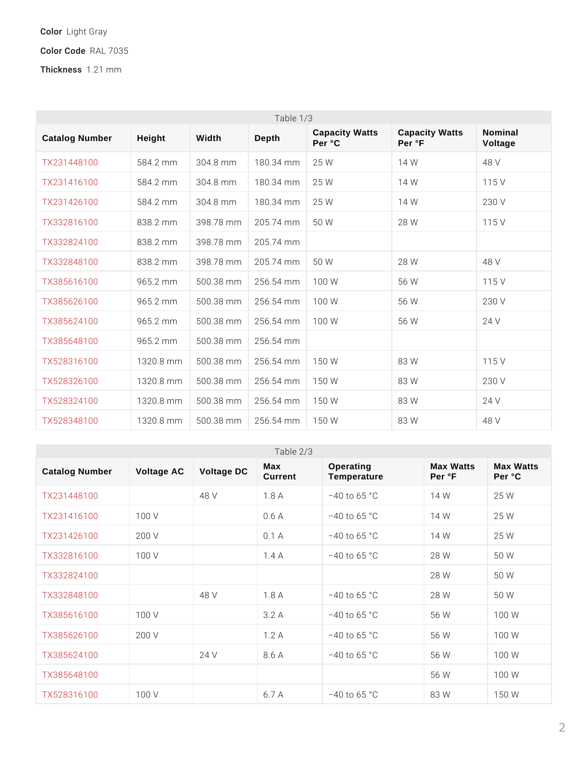## ColoLright Gray

Color CRGAd 7035

Thickne1s.\$21 mm

| Table $1/3$           |        |                                    |                 |                                 |                                 |                    |
|-----------------------|--------|------------------------------------|-----------------|---------------------------------|---------------------------------|--------------------|
| <b>Catalog Number</b> | Height | Width                              | Depth           | <b>Capacity Watts</b><br>Per °C | <b>Capacity Watts</b><br>Per °F | Nominal<br>Voltage |
| TX231448100           |        | 584.2 mm304.8 mm180.34             |                 | $m$ 2015 W                      | 14 W                            | 48 V               |
| TX231416100           |        | 584.2 mm304.8 mm180.34             |                 | $m$ 2015 W                      | 14 W                            | 115 V              |
| TX231426100           |        | 584.2 m m 304.8 m m 180.34 m 2n5 W |                 |                                 | 14 W                            | 230 V              |
| TX332816100           |        | 838.2 mlm398.78 m 2n05.74 m 5n0 W  |                 |                                 | 28 W                            | 115 V              |
| TX332824100           |        | 838.2 mm398.78                     | $m$ 2n0 5 . 7 4 | m <sub>m</sub>                  |                                 |                    |
| TX332848100           |        | 838.2 mlm398.78 m 2n05.74          |                 | $m$ 500 W                       | 28 W                            | 48 V               |
| TX385616100           |        | $965.2$ m $m500.38$                | m 2n5 6 . 5 4   | $m \text{ m}00 \text{ W}$       | 56 W                            | $115$ V            |
| TX385626100           |        | $965.2$ m $m500.38$                | m 2n5 6 . 5 4   | $m \text{ m}$ 0 0 W             | 56 W                            | 230 V              |
| TX385624100           |        | $965.2$ m m $500.38$ m $2n56.54$   |                 | $m \text{ m}00 \text{ W}$       | 56 W                            | 24 V               |
| TX385648100           |        | $965.2$ mm $500.38$                | $m$ 2015 6 .54  | m <sub>m</sub>                  |                                 |                    |
| TX528316100           |        | $1320.8$ m $500.38$                | m 2h5 6 . 5 4   | $m$ fm 5 0 W                    | 83 W                            | $115$ V            |
| TX528326100           | 1320.8 | m $5000.38$                        | m 2h 5 6 . 5 4  | $m$ fm 5 0 W                    | 83 W                            | 230 V              |
| TX528324100           |        | $1320.8$ m $500.38$                | m 2h 5 6 . 5 4  | $m$ fm 5 0 W                    | 83 W                            | 24 V               |
| TX528348100           |        | 1320.8 m 5n00.38 m 2n56.54         |                 | $m$ fm 5 0 W                    | 83 W                            | 48 V               |

| Table $2/3$    |                 |            |                |                          |                     |                     |
|----------------|-----------------|------------|----------------|--------------------------|---------------------|---------------------|
| Catalog Number | Voltage AC      | Voltage DC | Max<br>Current | Operating<br>Temperature | Max Watts<br>Per °F | Max Watts<br>Per °C |
| TX231448100    |                 | 48 V       | 1.8A           | " 40 to 65 °C            | W<br>14             | 25 W                |
| TX231416100    | 100 V           |            | 0.6A           | " 40 to 65 °C            | 14<br>- W           | 25 W                |
| TX231426100    | 200 V           |            | 0.1 A          | " 40 to 65 °C            | 14 W                | 25 W                |
| TX332816100    | $100 \text{ V}$ |            | 1.4 A          | " 40 to 65 °C            | 28 W                | 50 W                |
| TX332824100    |                 |            |                |                          | 28 W                | 50 W                |
| TX332848100    |                 | 48 V       | 1.8A           | " 40 to 65 °C            | 28 W                | 50 W                |
| TX385616100    | 100 V           |            | 3.2 A          | " 40 to 65 °C            | 56 W                | 100 W               |
| TX385626100    | 200 V           |            | 1.2 A          | " 40 to 65 °C            | 56 W                | 100 W               |
| TX385624100    |                 | 24 V       | 8.6 A          | " 40 to 65 °C            | 56 W                | 100 W               |
| TX385648100    |                 |            |                |                          | 56 W                | 100 W               |
| TX528316100    | 100 V           |            | 6.7 A          | $"40$ to 65 $^{\circ}$ C | 83 W                | 150 W               |